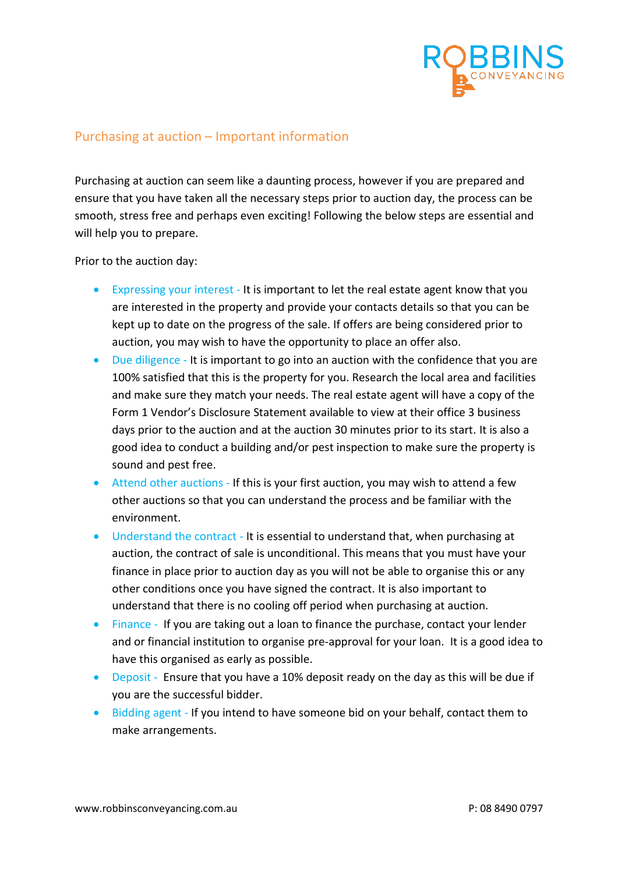

## Purchasing at auction – Important information

Purchasing at auction can seem like a daunting process, however if you are prepared and ensure that you have taken all the necessary steps prior to auction day, the process can be smooth, stress free and perhaps even exciting! Following the below steps are essential and will help you to prepare.

Prior to the auction day:

- Expressing your interest It is important to let the real estate agent know that you are interested in the property and provide your contacts details so that you can be kept up to date on the progress of the sale. If offers are being considered prior to auction, you may wish to have the opportunity to place an offer also.
- Due diligence It is important to go into an auction with the confidence that you are 100% satisfied that this is the property for you. Research the local area and facilities and make sure they match your needs. The real estate agent will have a copy of the Form 1 Vendor's Disclosure Statement available to view at their office 3 business days prior to the auction and at the auction 30 minutes prior to its start. It is also a good idea to conduct a building and/or pest inspection to make sure the property is sound and pest free.
- Attend other auctions If this is your first auction, you may wish to attend a few other auctions so that you can understand the process and be familiar with the environment.
- Understand the contract It is essential to understand that, when purchasing at auction, the contract of sale is unconditional. This means that you must have your finance in place prior to auction day as you will not be able to organise this or any other conditions once you have signed the contract. It is also important to understand that there is no cooling off period when purchasing at auction.
- Finance If you are taking out a loan to finance the purchase, contact your lender and or financial institution to organise pre-approval for your loan. It is a good idea to have this organised as early as possible.
- Deposit Ensure that you have a 10% deposit ready on the day as this will be due if you are the successful bidder.
- Bidding agent If you intend to have someone bid on your behalf, contact them to make arrangements.